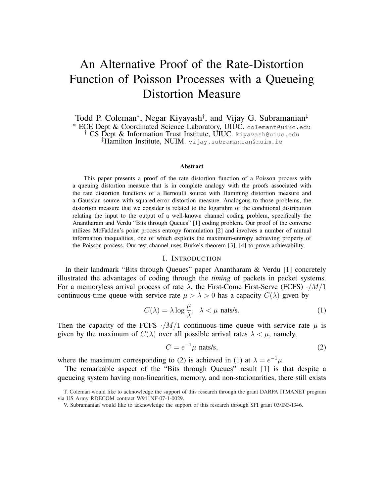# An Alternative Proof of the Rate-Distortion Function of Poisson Processes with a Queueing Distortion Measure

Todd P. Coleman<sup>∗</sup>, Negar Kiyavash<sup>†</sup>, and Vijay G. Subramanian<sup>‡</sup> <sup>∗</sup> ECE Dept & Coordinated Science Laboratory, UIUC. colemant@uiuc.edu † CS Dept & Information Trust Institute, UIUC. kiyavash@uiuc.edu ‡Hamilton Institute, NUIM. vijay.subramanian@nuim.ie

#### Abstract

This paper presents a proof of the rate distortion function of a Poisson process with a queuing distortion measure that is in complete analogy with the proofs associated with the rate distortion functions of a Bernoulli source with Hamming distortion measure and a Gaussian source with squared-error distortion measure. Analogous to those problems, the distortion measure that we consider is related to the logarithm of the conditional distribution relating the input to the output of a well-known channel coding problem, specifically the Anantharam and Verdu "Bits through Queues" [1] coding problem. Our proof of the converse utilizes McFadden's point process entropy formulation [2] and involves a number of mutual information inequalities, one of which exploits the maximum-entropy achieving property of the Poisson process. Our test channel uses Burke's theorem [3], [4] to prove achievability.

## I. INTRODUCTION

In their landmark "Bits through Queues" paper Anantharam & Verdu [1] concretely illustrated the advantages of coding through the *timing* of packets in packet systems. For a memoryless arrival process of rate  $\lambda$ , the First-Come First-Serve (FCFS)  $\cdot/M/1$ continuous-time queue with service rate  $\mu > \lambda > 0$  has a capacity  $C(\lambda)$  given by

$$
C(\lambda) = \lambda \log \frac{\mu}{\lambda}, \quad \lambda < \mu \text{ nats/s.} \tag{1}
$$

Then the capacity of the FCFS  $\cdot / M / 1$  continuous-time queue with service rate  $\mu$  is given by the maximum of  $C(\lambda)$  over all possible arrival rates  $\lambda < \mu$ , namely,

$$
C = e^{-1}\mu \text{ nats/s},\tag{2}
$$

where the maximum corresponding to (2) is achieved in (1) at  $\lambda = e^{-1}\mu$ .

The remarkable aspect of the "Bits through Queues" result [1] is that despite a queueing system having non-linearities, memory, and non-stationarities, there still exists

T. Coleman would like to acknowledge the support of this research through the grant DARPA ITMANET program via US Army RDECOM contract W911NF-07-1-0029.

V. Subramanian would like to acknowledge the support of this research through SFI grant 03/IN3/I346.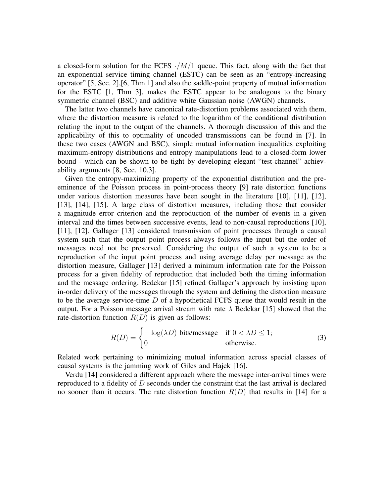a closed-form solution for the FCFS  $\cdot/M/1$  queue. This fact, along with the fact that an exponential service timing channel (ESTC) can be seen as an "entropy-increasing operator" [5, Sec. 2],[6, Thm 1] and also the saddle-point property of mutual information for the ESTC [1, Thm 3], makes the ESTC appear to be analogous to the binary symmetric channel (BSC) and additive white Gaussian noise (AWGN) channels.

The latter two channels have canonical rate-distortion problems associated with them, where the distortion measure is related to the logarithm of the conditional distribution relating the input to the output of the channels. A thorough discussion of this and the applicability of this to optimality of uncoded transmissions can be found in [7]. In these two cases (AWGN and BSC), simple mutual information inequalities exploiting maximum-entropy distributions and entropy manipulations lead to a closed-form lower bound - which can be shown to be tight by developing elegant "test-channel" achievability arguments [8, Sec. 10.3].

Given the entropy-maximizing property of the exponential distribution and the preeminence of the Poisson process in point-process theory [9] rate distortion functions under various distortion measures have been sought in the literature [10], [11], [12], [13], [14], [15]. A large class of distortion measures, including those that consider a magnitude error criterion and the reproduction of the number of events in a given interval and the times between successive events, lead to non-causal reproductions [10], [11], [12]. Gallager [13] considered transmission of point processes through a causal system such that the output point process always follows the input but the order of messages need not be preserved. Considering the output of such a system to be a reproduction of the input point process and using average delay per message as the distortion measure, Gallager [13] derived a minimum information rate for the Poisson process for a given fidelity of reproduction that included both the timing information and the message ordering. Bedekar [15] refined Gallager's approach by insisting upon in-order delivery of the messages through the system and defining the distortion measure to be the average service-time  $D$  of a hypothetical FCFS queue that would result in the output. For a Poisson message arrival stream with rate  $\lambda$  Bedekar [15] showed that the rate-distortion function  $R(D)$  is given as follows:

$$
R(D) = \begin{cases} -\log(\lambda D) & \text{bits/message} & \text{if } 0 < \lambda D \le 1; \\ 0 & \text{otherwise.} \end{cases}
$$
 (3)

Related work pertaining to minimizing mutual information across special classes of causal systems is the jamming work of Giles and Hajek [16].

Verdu [14] considered a different approach where the message inter-arrival times were reproduced to a fidelity of  $D$  seconds under the constraint that the last arrival is declared no sooner than it occurs. The rate distortion function  $R(D)$  that results in [14] for a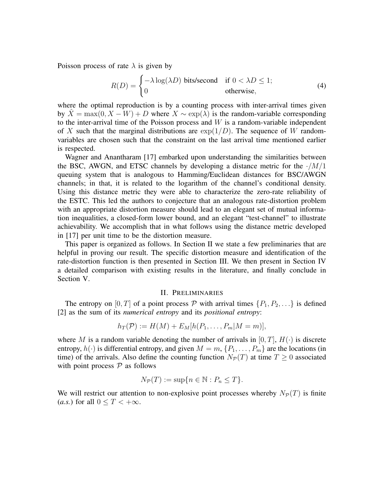Poisson process of rate  $\lambda$  is given by

$$
R(D) = \begin{cases} -\lambda \log(\lambda D) & \text{bits/second} \\ 0 & \text{otherwise,} \end{cases}
$$
 (4)

where the optimal reproduction is by a counting process with inter-arrival times given by  $\hat{X} = \max(0, X - W) + D$  where  $X \sim \exp(\lambda)$  is the random-variable corresponding to the inter-arrival time of the Poisson process and  $W$  is a random-variable independent of X such that the marginal distributions are  $\exp(1/D)$ . The sequence of W randomvariables are chosen such that the constraint on the last arrival time mentioned earlier is respected.

Wagner and Anantharam [17] embarked upon understanding the similarities between the BSC, AWGN, and ETSC channels by developing a distance metric for the  $\cdot/M/1$ queuing system that is analogous to Hamming/Euclidean distances for BSC/AWGN channels; in that, it is related to the logarithm of the channel's conditional density. Using this distance metric they were able to characterize the zero-rate reliability of the ESTC. This led the authors to conjecture that an analogous rate-distortion problem with an appropriate distortion measure should lead to an elegant set of mutual information inequalities, a closed-form lower bound, and an elegant "test-channel" to illustrate achievability. We accomplish that in what follows using the distance metric developed in [17] per unit time to be the distortion measure.

This paper is organized as follows. In Section II we state a few preliminaries that are helpful in proving our result. The specific distortion measure and identification of the rate-distortion function is then presented in Section III. We then present in Section IV a detailed comparison with existing results in the literature, and finally conclude in Section V.

#### II. PRELIMINARIES

The entropy on  $[0, T]$  of a point process P with arrival times  $\{P_1, P_2, \ldots\}$  is defined [2] as the sum of its *numerical entropy* and its *positional entropy*:

$$
h_T(\mathcal{P}) := H(M) + E_M[h(P_1, \ldots, P_m | M = m)],
$$

where M is a random variable denoting the number of arrivals in  $[0, T]$ ,  $H(\cdot)$  is discrete entropy,  $h(\cdot)$  is differential entropy, and given  $M = m, \{P_1, \ldots, P_m\}$  are the locations (in time) of the arrivals. Also define the counting function  $N_{\mathcal{P}}(T)$  at time  $T \geq 0$  associated with point process  $P$  as follows

$$
N_{\mathcal{P}}(T) := \sup\{n \in \mathbb{N} : P_n \le T\}.
$$

We will restrict our attention to non-explosive point processes whereby  $N_{\mathcal{P}}(T)$  is finite (*a.s.*) for all  $0 \leq T < +\infty$ .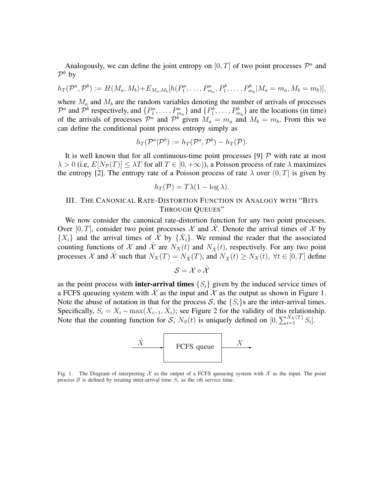Analogously, we can define the joint entropy on  $[0, T]$  of two point processes  $\mathcal{P}^a$  and  $\mathcal{P}^b$  by

$$
h_T(\mathcal{P}^a, \mathcal{P}^b) := H(M_a, M_b) + E_{M_a, M_b}[h(P_1^a, \dots, P_{m_a}^a, P_1^b, \dots, P_{m_b}^b | M_a = m_a, M_b = m_b)],
$$

where  $M_a$  and  $M_b$  are the random variables denoting the number of arrivals of processes  $\mathcal{P}^a$  and  $\mathcal{P}^b$  respectively, and  $\{P_1^a, \ldots, P_{m_a}^a\}$  and  $\{P_1^b, \ldots, P_{m_b}^b\}$  are the locations (in time) of the arrivals of processes  $\mathcal{P}^a$  and  $\mathcal{P}^b$  given  $M_a = m_a$  and  $M_b = m_b$ . From this we can define the conditional point process entropy simply as

$$
h_T(\mathcal{P}^a|\mathcal{P}^b):=h_T(\mathcal{P}^a,\mathcal{P}^b)-h_T(\mathcal{P}).
$$

It is well known that for all continuous-time point processes [9]  $\mathcal{P}$  with rate at most  $\lambda > 0$  (i.e,  $E[N_P(T)] \leq \lambda T$  for all  $T \in [0, +\infty)$ ), a Poisson process of rate  $\lambda$  maximizes the entropy [2]. The entropy rate of a Poisson process of rate  $\lambda$  over  $(0, T]$  is given by

$$
h_T(\mathcal{P}) = T\lambda(1 - \log \lambda).
$$

## III. THE CANONICAL RATE-DISTORTION FUNCTION IN ANALOGY WITH "BITS THROUGH QUEUES"

We now consider the canonical rate-distortion function for any two point processes. Over [0, T], consider two point processes  $\mathcal X$  and  $\mathcal X$ . Denote the arrival times of  $\mathcal X$  by  $\{X_i\}$  and the arrival times of  $\hat{\mathcal{X}}$  by  $\{\hat{X}_i\}$ . We remind the reader that the associated counting functions of X and  $\hat{\mathcal{X}}$  are  $N_X(t)$  and  $N_{\hat{\mathcal{X}}}(t)$ , respectively. For any two point processes X and  $\hat{\mathcal{X}}$  such that  $N_X(T) = N_{\hat{X}}(T)$ , and  $N_{\hat{X}}(t) \ge N_X(t)$ ,  $\forall t \in [0, T]$  define

$$
\mathcal{S}=\mathcal{X}\diamond\hat{\mathcal{X}}
$$

as the point process with **inter-arrival times**  $\{S_i\}$  given by the induced service times of a FCFS queueing system with  $\mathcal{X}$  as the input and  $\mathcal{X}$  as the output as shown in Figure 1. Note the abuse of notation in that for the process S, the  $\{S_i\}$ s are the inter-arrival times. Specifically,  $S_i = X_i - \max(X_{i-1}, \hat{X}_i)$ ; see Figure 2 for the validity of this relationship. Specifically,  $S_i = X_i - \max(X_{i-1}, X_i)$ , see Figure 2 for the validity of this felalty of the counting function for S,  $N_S(t)$  is uniquely defined on  $[0, \sum_{i=1}^{N_X(T)}$  $\sum_{i=1}^{N_X(T)} S_i$ .



Fig. 1. The Diagram of interpreting X as the output of a FCFS queueing system with  $\hat{\mathcal{X}}$  as the input. The point process  $S$  is defined by treating inter-arrival time  $S_i$  as the *i*th service time.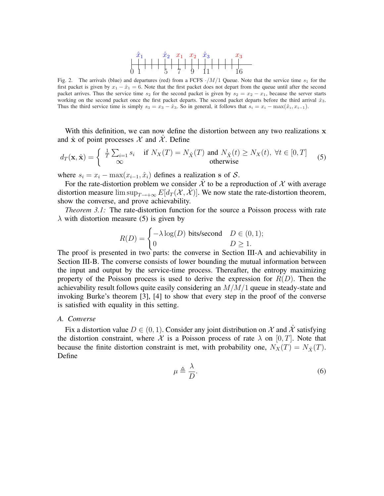

Fig. 2. The arrivals (blue) and departures (red) from a FCFS  $\cdot/M/1$  Queue. Note that the service time  $s_1$  for the first packet is given by  $x_1 - \hat{x}_1 = 6$ . Note that the first packet does not depart from the queue until after the second packet arrives. Thus the service time  $s_2$  for the second packet is given by  $s_2 = x_2 - x_1$ , because the server starts working on the second packet once the first packet departs. The second packet departs before the third arrival  $\hat{x}_3$ . Thus the third service time is simply  $s_3 = x_3 - \hat{x}_3$ . So in general, it follows that  $s_i = x_i - \max(\hat{x}_i, x_{i-1})$ .

With this definition, we can now define the distortion between any two realizations  $x$ and  $\hat{x}$  of point processes  $\mathcal X$  and  $\mathcal X$ . Define

$$
d_T(\mathbf{x}, \hat{\mathbf{x}}) = \begin{cases} \frac{1}{T} \sum_{i=1} s_i & \text{if } N_X(T) = N_{\hat{X}}(T) \text{ and } N_{\hat{X}}(t) \ge N_X(t), \ \forall t \in [0, T] \\ \infty & \text{otherwise} \end{cases}
$$
(5)

where  $s_i = x_i - \max(x_{i-1}, \hat{x}_i)$  defines a realization s of S.

For the rate-distortion problem we consider  $\hat{\mathcal{X}}$  to be a reproduction of  $\hat{\mathcal{X}}$  with average distortion measure  $\limsup_{T\to+\infty} E[d_T(\mathcal{X}, \hat{\mathcal{X}})]$ . We now state the rate-distortion theorem, show the converse, and prove achievability.

*Theorem 3.1:* The rate-distortion function for the source a Poisson process with rate  $\lambda$  with distortion measure (5) is given by

$$
R(D) = \begin{cases} -\lambda \log(D) & \text{bits/second} & D \in (0,1); \\ 0 & D \ge 1. \end{cases}
$$

The proof is presented in two parts: the converse in Section III-A and achievability in Section III-B. The converse consists of lower bounding the mutual information between the input and output by the service-time process. Thereafter, the entropy maximizing property of the Poisson process is used to derive the expression for  $R(D)$ . Then the achievability result follows quite easily considering an  $M/M/1$  queue in steady-state and invoking Burke's theorem [3], [4] to show that every step in the proof of the converse is satisfied with equality in this setting.

#### *A. Converse*

Fix a distortion value  $D \in (0, 1)$ . Consider any joint distribution on X and X satisfying the distortion constraint, where X is a Poisson process of rate  $\lambda$  on [0, T]. Note that because the finite distortion constraint is met, with probability one,  $N_X(T) = N_{\hat{X}}(T)$ . Define

$$
\mu \triangleq \frac{\lambda}{D}.\tag{6}
$$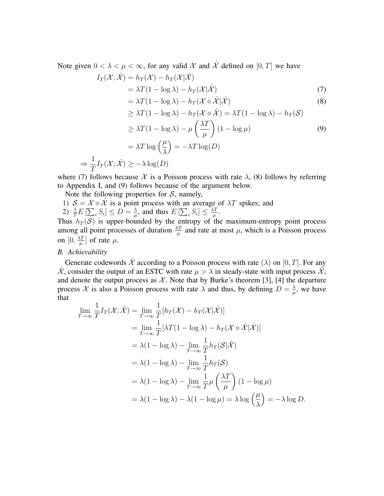Note given  $0 < \lambda < \mu < \infty$ , for any valid X and  $\hat{\mathcal{X}}$  defined on  $[0, T]$  we have

$$
I_T(\mathcal{X}; \hat{\mathcal{X}}) = h_T(\mathcal{X}) - h_T(\mathcal{X} | \hat{\mathcal{X}})
$$
  
=  $\lambda T(1 - \log \lambda) - h_T(\mathcal{X} | \hat{\mathcal{X}})$  (7)

$$
= \lambda T (1 - \log \lambda) - h_T (\mathcal{X} \diamond \hat{\mathcal{X}} | \hat{\mathcal{X}})
$$
\n(8)

$$
\geq \lambda T (1 - \log \lambda) - h_T(\mathcal{X} \diamond \hat{\mathcal{X}}) = \lambda T (1 - \log \lambda) - h_T(\mathcal{S})
$$

$$
\geq \lambda T (1 - \log \lambda) - \mu \left( \frac{\lambda T}{\mu} \right) (1 - \log \mu) \tag{9}
$$

$$
= \lambda T \log\left(\frac{\mu}{\lambda}\right) = -\lambda T \log(D)
$$

$$
\Rightarrow \frac{1}{T}I_T(\mathcal{X};\hat{\mathcal{X}}) \ge -\lambda \log(D)
$$

where (7) follows because X is a Poisson process with rate  $\lambda$ , (8) follows by referring to Appendix I, and (9) follows because of the argument below.

Note the following properties for  $S$ , namely,

- 1)  $S = \mathcal{X} \diamond \hat{\mathcal{X}}$  is a point process with an average of  $\lambda T$  spikes; and
- 2)  $\frac{1}{T}E\left[\sum_i S_i\right] \leq D = \frac{\lambda}{\mu}$  $\frac{\lambda}{\mu}$ , and thus  $E\left[\sum_i S_i\right] \leq \frac{\lambda T}{\mu}$  $\frac{\Delta T}{\mu}$  .

Thus  $h_T(\mathcal{S})$  is upper-bounded by the entropy of the maximum-entropy point process among all point processes of duration  $\frac{\lambda T}{\mu}$  and rate at most  $\mu$ , which is a Poisson process on  $[0, \frac{\lambda T}{u}]$  $\frac{\Delta T}{\mu}$  of rate  $\mu$ .

### *B. Achievability*

Generate codewords  $\hat{\mathcal{X}}$  according to a Poisson process with rate  $(\lambda)$  on  $[0, T]$ . For any  $\hat{\mathcal{X}}$ , consider the output of an ESTC with rate  $\mu > \lambda$  in steady-state with input process  $\hat{\mathcal{X}}$ , and denote the output process as  $\mathcal{X}$ . Note that by Burke's theorem [3], [4] the departure process X is also a Poisson process with rate  $\lambda$  and thus, by defining  $D = \frac{\lambda}{\mu}$  $\frac{\lambda}{\mu}$ , we have that

$$
\lim_{T \to \infty} \frac{1}{T} I_T(\mathcal{X}; \hat{\mathcal{X}}) = \lim_{T \to \infty} \frac{1}{T} [h_T(\mathcal{X}) - h_T(\mathcal{X} | \hat{\mathcal{X}})]
$$
\n
$$
= \lim_{T \to \infty} \frac{1}{T} [\lambda T (1 - \log \lambda) - h_T(\mathcal{X} \diamond \hat{\mathcal{X}} | \hat{\mathcal{X}})]
$$
\n
$$
= \lambda (1 - \log \lambda) - \lim_{T \to \infty} \frac{1}{T} h_T(\mathcal{S} | \hat{\mathcal{X}})
$$
\n
$$
= \lambda (1 - \log \lambda) - \lim_{T \to \infty} \frac{1}{T} h_T(\mathcal{S})
$$
\n
$$
= \lambda (1 - \log \lambda) - \lim_{T \to \infty} \frac{1}{T} \mu \left( \frac{\lambda T}{\mu} \right) (1 - \log \mu)
$$
\n
$$
= \lambda (1 - \log \lambda) - \lambda (1 - \log \mu) = \lambda \log \left( \frac{\mu}{\lambda} \right) = -\lambda \log D.
$$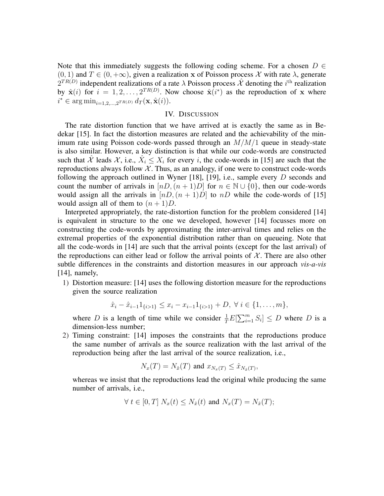Note that this immediately suggests the following coding scheme. For a chosen  $D \in$  $(0, 1)$  and  $T \in (0, +\infty)$ , given a realization x of Poisson process X with rate  $\lambda$ , generate  $2^{TR(D)}$  independent realizations of a rate  $\lambda$  Poisson process  $\hat{\mathcal{X}}$  denoting the *i*<sup>th</sup> realization by  $\hat{\mathbf{x}}(i)$  for  $i = 1, 2, ..., 2^{TR(D)}$ . Now choose  $\hat{\mathbf{x}}(i^*)$  as the reproduction of x where  $i^* \in \arg \min_{i=1,2,\dots,2^{TR(D)}} d_T(\mathbf{x}, \hat{\mathbf{x}}(i)).$ 

#### IV. DISCUSSION

The rate distortion function that we have arrived at is exactly the same as in Bedekar [15]. In fact the distortion measures are related and the achievability of the minimum rate using Poisson code-words passed through an  $M/M/1$  queue in steady-state is also similar. However, a key distinction is that while our code-words are constructed such that  $\hat{\mathcal{X}}$  leads  $\hat{\mathcal{X}}$ , i.e.,  $\hat{X}_i \leq X_i$  for every i, the code-words in [15] are such that the reproductions always follow  $X$ . Thus, as an analogy, if one were to construct code-words following the approach outlined in Wyner [18], [19], i.e., sample every  $D$  seconds and count the number of arrivals in  $[nD,(n+1)D]$  for  $n \in \mathbb{N} \cup \{0\}$ , then our code-words would assign all the arrivals in  $[nD,(n+1)D]$  to nD while the code-words of [15] would assign all of them to  $(n + 1)D$ .

Interpreted appropriately, the rate-distortion function for the problem considered [14] is equivalent in structure to the one we developed, however [14] focusses more on constructing the code-words by approximating the inter-arrival times and relies on the extremal properties of the exponential distribution rather than on queueing. Note that all the code-words in [14] are such that the arrival points (except for the last arrival) of the reproductions can either lead or follow the arrival points of  $X$ . There are also other subtle differences in the constraints and distortion measures in our approach *vis-a-vis* [14], namely,

1) Distortion measure: [14] uses the following distortion measure for the reproductions given the source realization

$$
\hat{x}_i - \hat{x}_{i-1} 1_{\{i > 1\}} \leq x_i - x_{i-1} 1_{\{i > 1\}} + D, \ \forall \ i \in \{1, \dots, m\},\
$$

where D is a length of time while we consider  $\frac{1}{T}E$  $\sum_m$  $\binom{m}{i=1}$   $S_i$   $\leq D$  where D is a dimension-less number;

2) Timing constraint: [14] imposes the constraints that the reproductions produce the same number of arrivals as the source realization with the last arrival of the reproduction being after the last arrival of the source realization, i.e.,

$$
N_x(T) = N_{\hat{x}}(T) \text{ and } x_{N_x(T)} \leq \hat{x}_{N_{\hat{x}}(T)},
$$

whereas we insist that the reproductions lead the original while producing the same number of arrivals, i.e.,

$$
\forall t \in [0, T] \ N_x(t) \le N_{\hat{x}}(t) \text{ and } N_x(T) = N_{\hat{x}}(T);
$$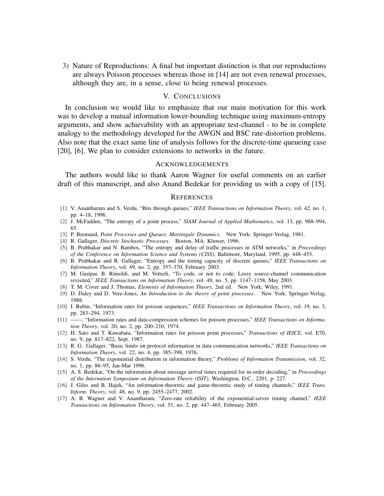3) Nature of Reproductions: A final but important distinction is that our reproductions are always Poisson processes whereas those in [14] are not even renewal processes, although they are, in a sense, close to being renewal processes.

## V. CONCLUSIONS

In conclusion we would like to emphasize that our main motivation for this work was to develop a mutual information lower-bounding technique using maximum-entropy arguments, and show achievability with an appropriate test-channel - to be in complete analogy to the methodology developed for the AWGN and BSC rate-distortion problems. Also note that the exact same line of analysis follows for the discrete-time queueing case [20], [6]. We plan to consider extensions to networks in the future.

#### ACKNOWLEDGEMENTS

The authors would like to thank Aaron Wagner for useful comments on an earlier draft of this manuscript, and also Anand Bedekar for providing us with a copy of [15].

#### **REFERENCES**

- [1] V. Anantharam and S. Verdu, "Bits through queues," *IEEE Transactions on Information Theory*, vol. 42, no. 1, pp. 4–18, 1996.
- [2] J. McFadden, "The entropy of a point process," *SIAM Journal of Applied Mathematics*, vol. 13, pp. 988–994, 65.
- [3] P. Bremaud, *Point Processes and Queues: Martingale Dynamics*. New York: Springer-Verlag, 1981.
- [4] R. Gallager, *Discrete Stochastic Processes*. Boston, MA: Kluwer, 1996.
- [5] B. Prabhakar and N. Bambos, "The entropy and delay of traffic processes in ATM networks," in *Proceedings of the Conference on Information Science and Systems (CISS)*, Baltimore, Maryland, 1995, pp. 448–453.
- [6] B. Prabhakar and R. Gallager, "Entropy and the timing capacity of discrete queues," *IEEE Transactions on Information Theory*, vol. 49, no. 2, pp. 357–370, February 2003.
- [7] M. Gastpar, B. Rimoldi, and M. Vetterli, "To code, or not to code: Lossy source-channel communication revisited," *IEEE Transactions on Information Theory*, vol. 49, no. 5, pp. 1147–1158, May 2003.
- [8] T. M. Cover and J. Thomas, *Elements of Information Theory*, 2nd ed. New York: Wiley, 1991.
- [9] D. Daley and D. Vere-Jones, *An Introduction to the theory of point processes*. New York: Springer-Verlag, 1988.
- [10] I. Rubin, "Information rates for poisson sequences," *IEEE Transactions on Information Theory*, vol. 19, no. 3, pp. 283–294, 1973.
- [11] ——, "Information rates and data-compression schemes for poisson processes," *IEEE Transactions on Information Theory*, vol. 20, no. 2, pp. 200–210, 1974.
- [12] H. Sato and T. Kawabata, "Information rates for poisson point processes," *Transactions of IEICE*, vol. E70, no. 9, pp. 817–822, Sept. 1987.
- [13] R. G. .Gallager, "Basic limits on protocol information in data communication networks," *IEEE Transactions on Information Theory*, vol. 22, no. 4, pp. 385–398, 1976.
- [14] S. Verdu, "The exponential distribution in information theory," *Problems of Information Transmission*, vol. 32, no. 1, pp. 86–95, Jan-Mar 1996.
- [15] A. S. Bedekar, "On the information about message arrival times required for in-order decoding," in *Proceedings of the Internation Symposium on Information Theory (ISIT)*, Washington, D.C., 2201, p. 227.
- [16] J. Giles and B. Hajek, "An information-theoretic and game-theoretic study of timing channels," *IEEE Trans. Inform. Theory*, vol. 48, no. 9, pp. 2455–2477, 2002.
- [17] A. B. Wagner and V. Anantharam, "Zero-rate reliability of the exponential-server timing channel," *IEEE Transactions on Information Theory*, vol. 51, no. 2, pp. 447–465, February 2005.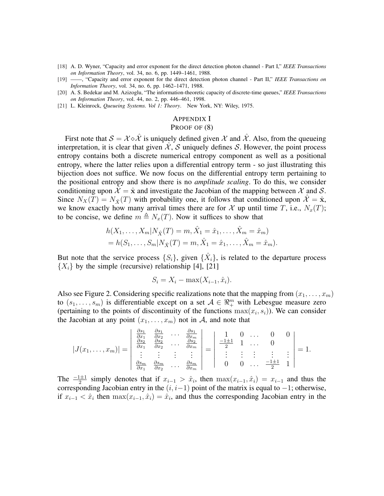- [18] A. D. Wyner, "Capacity and error exponent for the direct detection photon channel Part I," *IEEE Transactions on Information Theory*, vol. 34, no. 6, pp. 1449–1461, 1988.
- [19] ——, "Capacity and error exponent for the direct detection photon channel Part II," *IEEE Transactions on Information Theory*, vol. 34, no. 6, pp. 1462–1471, 1988.
- [20] A. S. Bedekar and M. Azizoglu, "The information-theoretic capacity of discrete-time queues," *IEEE Transactions on Information Theory*, vol. 44, no. 2, pp. 446–461, 1998.
- [21] L. Kleinrock, *Queueing Systems. Vol 1: Theory*. New York, NY: Wiley, 1975.

#### APPENDIX I

## PROOF OF (8)

First note that  $S = \mathcal{X} \circ \hat{\mathcal{X}}$  is uniquely defined given  $\mathcal{X}$  and  $\hat{\mathcal{X}}$ . Also, from the queueing interpretation, it is clear that given  $X$ , S uniquely defines S. However, the point process entropy contains both a discrete numerical entropy component as well as a positional entropy, where the latter relies upon a differential entropy term - so just illustrating this bijection does not suffice. We now focus on the differential entropy term pertaining to the positional entropy and show there is no *amplitude scaling*. To do this, we consider conditioning upon  $\mathcal{X} = \hat{\mathbf{x}}$  and investigate the Jacobian of the mapping between X and S. Since  $N_X(T) = N_{\hat{X}}(T)$  with probability one, it follows that conditioned upon  $\hat{\mathcal{X}} = \hat{\mathbf{x}}$ , we know exactly how many arrival times there are for X up until time T, i.e.,  $N_x(T)$ ; to be concise, we define  $m \triangleq N_x(T)$ . Now it suffices to show that

$$
h(X_1, ..., X_m | N_{\hat{X}}(T) = m, \hat{X}_1 = \hat{x}_1, ..., \hat{X}_m = \hat{x}_m)
$$
  
=  $h(S_1, ..., S_m | N_{\hat{X}}(T) = m, \hat{X}_1 = \hat{x}_1, ..., \hat{X}_m = \hat{x}_m).$ 

But note that the service process  $\{S_i\}$ , given  $\{\hat{X}_i\}$ , is related to the departure process  ${X<sub>i</sub>}$  by the simple (recursive) relationship [4], [21]

$$
S_i = X_i - \max(X_{i-1}, \hat{x}_i).
$$

Also see Figure 2. Considering specific realizations note that the mapping from  $(x_1, \ldots, x_m)$ to  $(s_1, \ldots, s_m)$  is differentiable except on a set  $A \in \mathbb{R}_+^m$  with Lebesgue measure zero (pertaining to the points of discontinuity of the functions  $\max(x_i, s_i)$ ). We can consider the Jacobian at any point  $(x_1, \ldots, x_m)$  not in A, and note that

$$
|J(x_1,\ldots,x_m)| = \begin{vmatrix} \frac{\partial s_1}{\partial x_1} & \frac{\partial s_1}{\partial x_2} & \cdots & \frac{\partial s_1}{\partial x_m} \\ \frac{\partial s_2}{\partial x_1} & \frac{\partial s_2}{\partial x_2} & \cdots & \frac{\partial s_2}{\partial x_m} \\ \vdots & \vdots & \vdots & \vdots \\ \frac{\partial s_m}{\partial x_1} & \frac{\partial s_m}{\partial x_2} & \cdots & \frac{\partial s_m}{\partial x_m} \end{vmatrix} = \begin{vmatrix} 1 & 0 & \cdots & 0 & 0 \\ \frac{-1 \pm 1}{2} & 1 & \cdots & 0 & 0 \\ \vdots & \vdots & \vdots & \vdots & \vdots \\ 0 & 0 & \cdots & \frac{-1 \pm 1}{2} & 1 \end{vmatrix} = 1.
$$

The  $\frac{-1\pm 1}{2}$  simply denotes that if  $x_{i-1} > \hat{x}_i$ , then  $\max(x_{i-1}, \hat{x}_i) = x_{i-1}$  and thus the corresponding Jacobian entry in the  $(i, i-1)$  point of the matrix is equal to  $-1$ ; otherwise, if  $x_{i-1} < \hat{x}_i$  then  $\max(x_{i-1}, \hat{x}_i) = \hat{x}_i$ , and thus the corresponding Jacobian entry in the